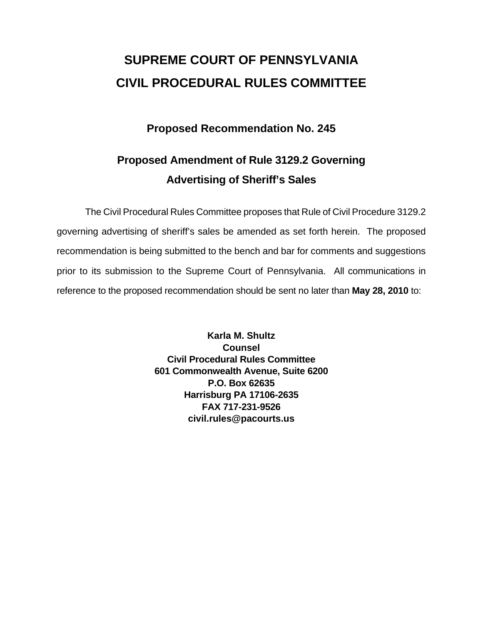# **SUPREME COURT OF PENNSYLVANIA CIVIL PROCEDURAL RULES COMMITTEE**

## **Proposed Recommendation No. 245**

## **Proposed Amendment of Rule 3129.2 Governing Advertising of Sheriff's Sales**

 The Civil Procedural Rules Committee proposes that Rule of Civil Procedure 3129.2 governing advertising of sheriff's sales be amended as set forth herein. The proposed recommendation is being submitted to the bench and bar for comments and suggestions prior to its submission to the Supreme Court of Pennsylvania. All communications in reference to the proposed recommendation should be sent no later than **May 28, 2010** to:

> **Karla M. Shultz Counsel Civil Procedural Rules Committee 601 Commonwealth Avenue, Suite 6200 P.O. Box 62635 Harrisburg PA 17106-2635 FAX 717-231-9526 civil.rules@pacourts.us**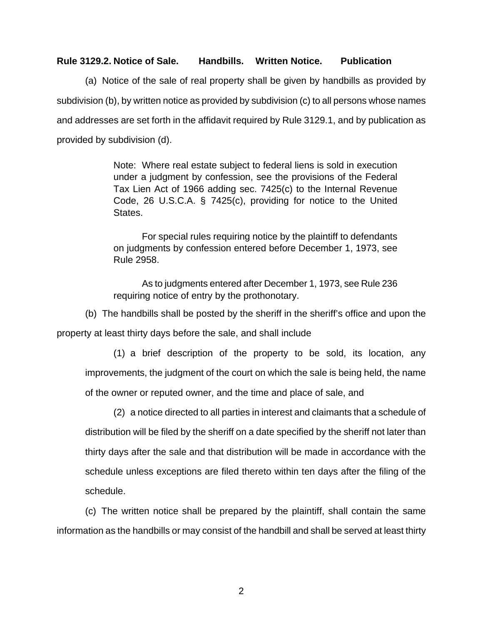#### **Rule 3129.2. Notice of Sale. Handbills. Written Notice. Publication**

 (a) Notice of the sale of real property shall be given by handbills as provided by subdivision (b), by written notice as provided by subdivision (c) to all persons whose names and addresses are set forth in the affidavit required by Rule 3129.1, and by publication as provided by subdivision (d).

> Note: Where real estate subject to federal liens is sold in execution under a judgment by confession, see the provisions of the Federal Tax Lien Act of 1966 adding sec. 7425(c) to the Internal Revenue Code, 26 U.S.C.A. § 7425(c), providing for notice to the United States.

> For special rules requiring notice by the plaintiff to defendants on judgments by confession entered before December 1, 1973, see Rule 2958.

> As to judgments entered after December 1, 1973, see Rule 236 requiring notice of entry by the prothonotary.

(b) The handbills shall be posted by the sheriff in the sheriff's office and upon the

property at least thirty days before the sale, and shall include

(1) a brief description of the property to be sold, its location, any improvements, the judgment of the court on which the sale is being held, the name of the owner or reputed owner, and the time and place of sale, and

(2) a notice directed to all parties in interest and claimants that a schedule of distribution will be filed by the sheriff on a date specified by the sheriff not later than thirty days after the sale and that distribution will be made in accordance with the schedule unless exceptions are filed thereto within ten days after the filing of the schedule.

 (c) The written notice shall be prepared by the plaintiff, shall contain the same information as the handbills or may consist of the handbill and shall be served at least thirty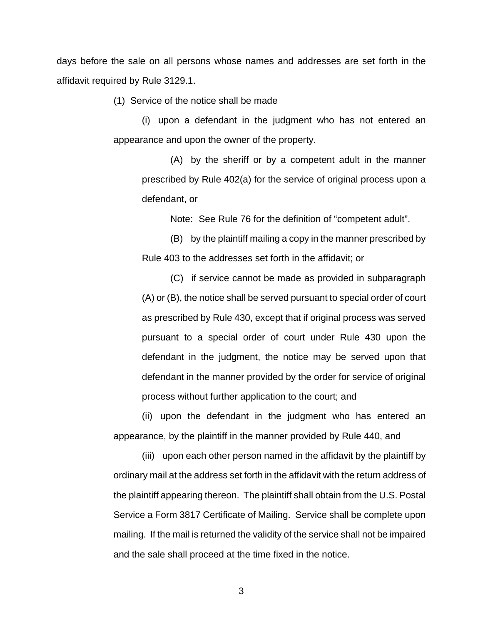days before the sale on all persons whose names and addresses are set forth in the affidavit required by Rule 3129.1.

(1) Service of the notice shall be made

(i) upon a defendant in the judgment who has not entered an appearance and upon the owner of the property.

(A) by the sheriff or by a competent adult in the manner prescribed by Rule 402(a) for the service of original process upon a defendant, or

Note: See Rule 76 for the definition of "competent adult".

(B) by the plaintiff mailing a copy in the manner prescribed by Rule 403 to the addresses set forth in the affidavit; or

(C) if service cannot be made as provided in subparagraph (A) or (B), the notice shall be served pursuant to special order of court as prescribed by Rule 430, except that if original process was served pursuant to a special order of court under Rule 430 upon the defendant in the judgment, the notice may be served upon that defendant in the manner provided by the order for service of original process without further application to the court; and

(ii) upon the defendant in the judgment who has entered an appearance, by the plaintiff in the manner provided by Rule 440, and

(iii) upon each other person named in the affidavit by the plaintiff by ordinary mail at the address set forth in the affidavit with the return address of the plaintiff appearing thereon. The plaintiff shall obtain from the U.S. Postal Service a Form 3817 Certificate of Mailing. Service shall be complete upon mailing. If the mail is returned the validity of the service shall not be impaired and the sale shall proceed at the time fixed in the notice.

3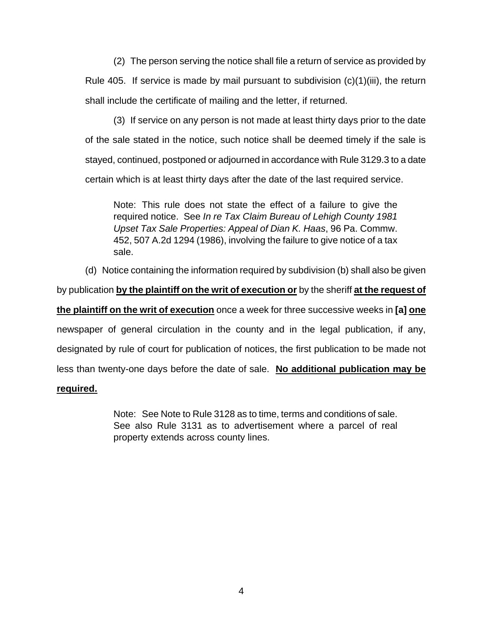(2) The person serving the notice shall file a return of service as provided by Rule 405. If service is made by mail pursuant to subdivision  $(c)(1)(iii)$ , the return shall include the certificate of mailing and the letter, if returned.

(3) If service on any person is not made at least thirty days prior to the date of the sale stated in the notice, such notice shall be deemed timely if the sale is stayed, continued, postponed or adjourned in accordance with Rule 3129.3 to a date certain which is at least thirty days after the date of the last required service.

Note: This rule does not state the effect of a failure to give the required notice. See *In re Tax Claim Bureau of Lehigh County 1981 Upset Tax Sale Properties: Appeal of Dian K. Haas*, 96 Pa. Commw. 452, 507 A.2d 1294 (1986), involving the failure to give notice of a tax sale.

 (d) Notice containing the information required by subdivision (b) shall also be given by publication **by the plaintiff on the writ of execution or** by the sheriff **at the request of the plaintiff on the writ of execution** once a week for three successive weeks in **[a] one** newspaper of general circulation in the county and in the legal publication, if any, designated by rule of court for publication of notices, the first publication to be made not less than twenty-one days before the date of sale. **No additional publication may be required.**

### Note: See Note to Rule 3128 as to time, terms and conditions of sale. See also Rule 3131 as to advertisement where a parcel of real property extends across county lines.